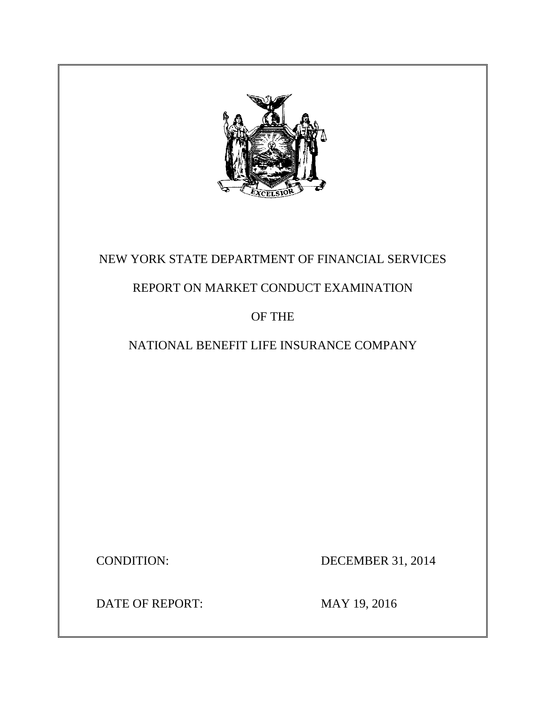

# NEW YORK STATE DEPARTMENT OF FINANCIAL SERVICES

# REPORT ON MARKET CONDUCT EXAMINATION

## OF THE

# NATIONAL BENEFIT LIFE INSURANCE COMPANY

CONDITION: DECEMBER 31, 2014

DATE OF REPORT: MAY 19, 2016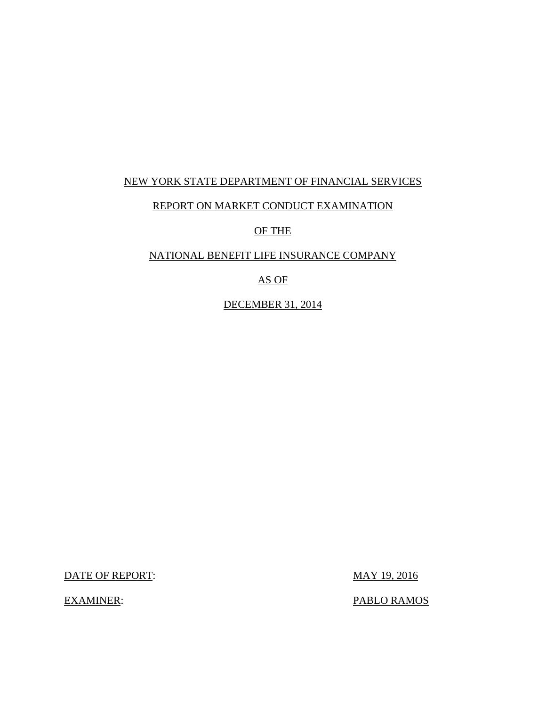## NEW YORK STATE DEPARTMENT OF FINANCIAL SERVICES

### REPORT ON MARKET CONDUCT EXAMINATION

OF THE

### NATIONAL BENEFIT LIFE INSURANCE COMPANY

AS OF

DECEMBER 31, 2014

DATE OF REPORT: MAY 19, 2016

EXAMINER: PABLO RAMOS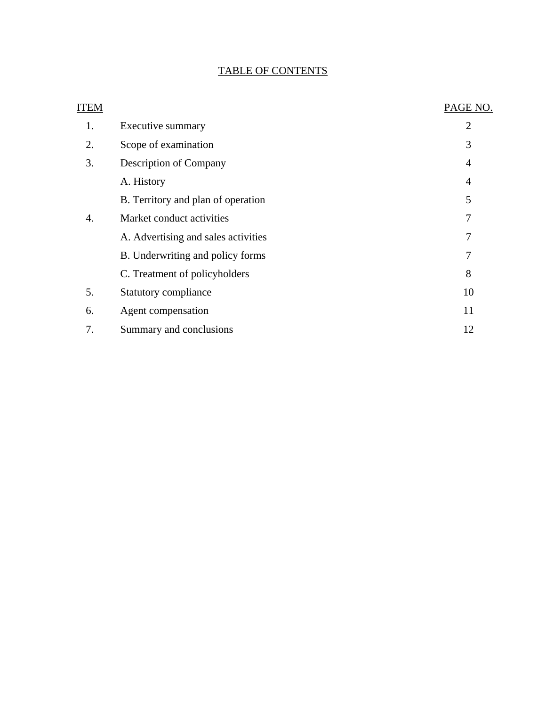## TABLE OF CONTENTS

| ITEM |                                     | PAGE NO.       |
|------|-------------------------------------|----------------|
| 1.   | Executive summary                   | $\overline{2}$ |
| 2.   | Scope of examination                | 3              |
| 3.   | <b>Description of Company</b>       | 4              |
|      | A. History                          | 4              |
|      | B. Territory and plan of operation  | 5              |
| 4.   | Market conduct activities           | 7              |
|      | A. Advertising and sales activities | 7              |
|      | B. Underwriting and policy forms    | 7              |
|      | C. Treatment of policyholders       | 8              |
| 5.   | Statutory compliance                | 10             |
| 6.   | Agent compensation                  | 11             |
| 7.   | Summary and conclusions             | 12             |
|      |                                     |                |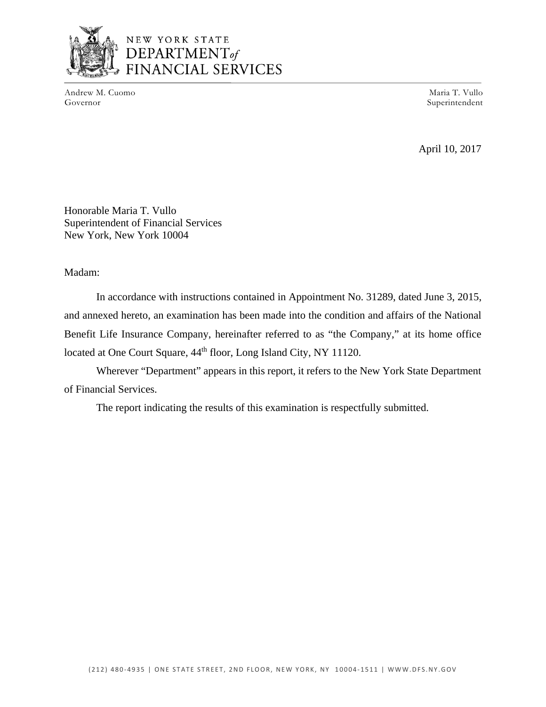

Andrew M. Cuomo Maria T. Vullo (Governor Maria T. Vullo Governor Maria T. Vullo Governor Maria T. Vullo Governor

Superintendent

April 10, 2017

Honorable Maria T. Vullo Superintendent of Financial Services New York, New York 10004

### Madam:

In accordance with instructions contained in Appointment No. 31289, dated June 3, 2015, and annexed hereto, an examination has been made into the condition and affairs of the National Benefit Life Insurance Company, hereinafter referred to as "the Company," at its home office located at One Court Square,  $44<sup>th</sup>$  floor, Long Island City, NY 11120.

Wherever "Department" appears in this report, it refers to the New York State Department of Financial Services.

The report indicating the results of this examination is respectfully submitted.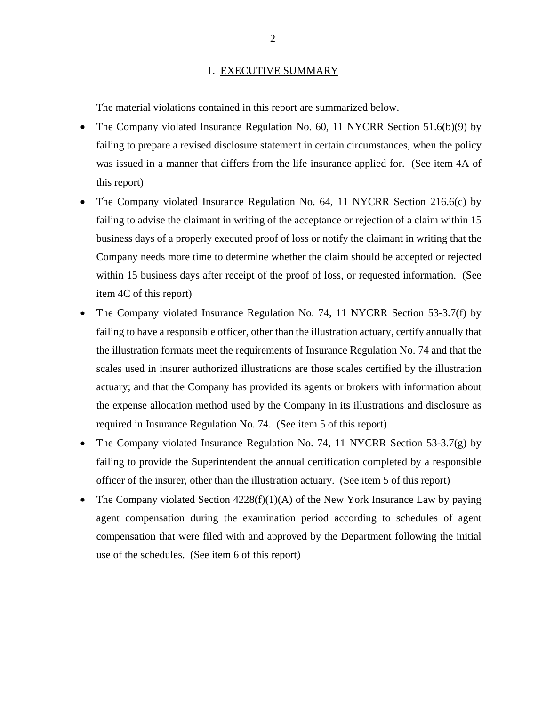#### 1. EXECUTIVE SUMMARY

<span id="page-4-0"></span>The material violations contained in this report are summarized below.

- The Company violated Insurance Regulation No. 60, 11 NYCRR Section 51.6(b)(9) by failing to prepare a revised disclosure statement in certain circumstances, when the policy was issued in a manner that differs from the life insurance applied for. (See item 4A of this report)
- The Company violated Insurance Regulation No. 64, 11 NYCRR Section 216.6(c) by failing to advise the claimant in writing of the acceptance or rejection of a claim within 15 business days of a properly executed proof of loss or notify the claimant in writing that the Company needs more time to determine whether the claim should be accepted or rejected within 15 business days after receipt of the proof of loss, or requested information. (See item 4C of this report)
- The Company violated Insurance Regulation No. 74, 11 NYCRR Section 53-3.7(f) by failing to have a responsible officer, other than the illustration actuary, certify annually that the illustration formats meet the requirements of Insurance Regulation No. 74 and that the scales used in insurer authorized illustrations are those scales certified by the illustration actuary; and that the Company has provided its agents or brokers with information about the expense allocation method used by the Company in its illustrations and disclosure as required in Insurance Regulation No. 74. (See item 5 of this report)
- The Company violated Insurance Regulation No. 74, 11 NYCRR Section 53-3.7(g) by failing to provide the Superintendent the annual certification completed by a responsible officer of the insurer, other than the illustration actuary. (See item 5 of this report)
- The Company violated Section  $4228(f)(1)(A)$  of the New York Insurance Law by paying agent compensation during the examination period according to schedules of agent compensation that were filed with and approved by the Department following the initial use of the schedules. (See item 6 of this report)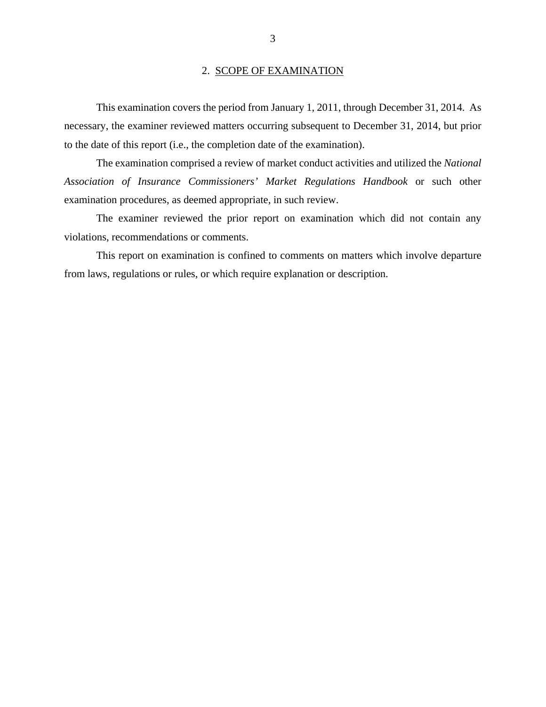#### 2. SCOPE OF EXAMINATION

<span id="page-5-0"></span>This examination covers the period from January 1, 2011, through December 31, 2014. As necessary, the examiner reviewed matters occurring subsequent to December 31, 2014, but prior to the date of this report (i.e., the completion date of the examination).

The examination comprised a review of market conduct activities and utilized the *National Association of Insurance Commissioners' Market Regulations Handbook* or such other examination procedures, as deemed appropriate, in such review.

The examiner reviewed the prior report on examination which did not contain any violations, recommendations or comments.

This report on examination is confined to comments on matters which involve departure from laws, regulations or rules, or which require explanation or description.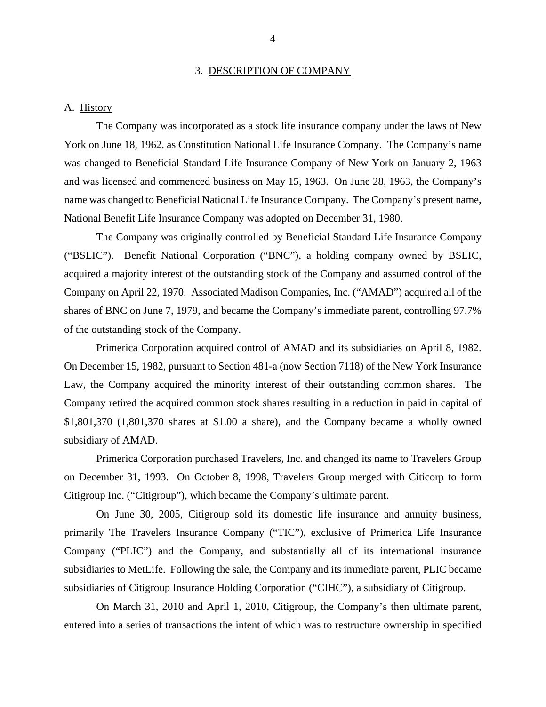#### 3. DESCRIPTION OF COMPANY

#### <span id="page-6-0"></span>A. History

The Company was incorporated as a stock life insurance company under the laws of New York on June 18, 1962, as Constitution National Life Insurance Company. The Company's name was changed to Beneficial Standard Life Insurance Company of New York on January 2, 1963 and was licensed and commenced business on May 15, 1963. On June 28, 1963, the Company's name was changed to Beneficial National Life Insurance Company. The Company's present name, National Benefit Life Insurance Company was adopted on December 31, 1980.

The Company was originally controlled by Beneficial Standard Life Insurance Company ("BSLIC"). Benefit National Corporation ("BNC"), a holding company owned by BSLIC, acquired a majority interest of the outstanding stock of the Company and assumed control of the Company on April 22, 1970. Associated Madison Companies, Inc. ("AMAD") acquired all of the shares of BNC on June 7, 1979, and became the Company's immediate parent, controlling 97.7% of the outstanding stock of the Company.

Primerica Corporation acquired control of AMAD and its subsidiaries on April 8, 1982. On December 15, 1982, pursuant to Section 481-a (now Section 7118) of the New York Insurance Law, the Company acquired the minority interest of their outstanding common shares. The Company retired the acquired common stock shares resulting in a reduction in paid in capital of \$1,801,370 (1,801,370 shares at \$1.00 a share), and the Company became a wholly owned subsidiary of AMAD.

Primerica Corporation purchased Travelers, Inc. and changed its name to Travelers Group on December 31, 1993. On October 8, 1998, Travelers Group merged with Citicorp to form Citigroup Inc. ("Citigroup"), which became the Company's ultimate parent.

On June 30, 2005, Citigroup sold its domestic life insurance and annuity business, primarily The Travelers Insurance Company ("TIC"), exclusive of Primerica Life Insurance Company ("PLIC") and the Company, and substantially all of its international insurance subsidiaries to MetLife. Following the sale, the Company and its immediate parent, PLIC became subsidiaries of Citigroup Insurance Holding Corporation ("CIHC"), a subsidiary of Citigroup.

On March 31, 2010 and April 1, 2010, Citigroup, the Company's then ultimate parent, entered into a series of transactions the intent of which was to restructure ownership in specified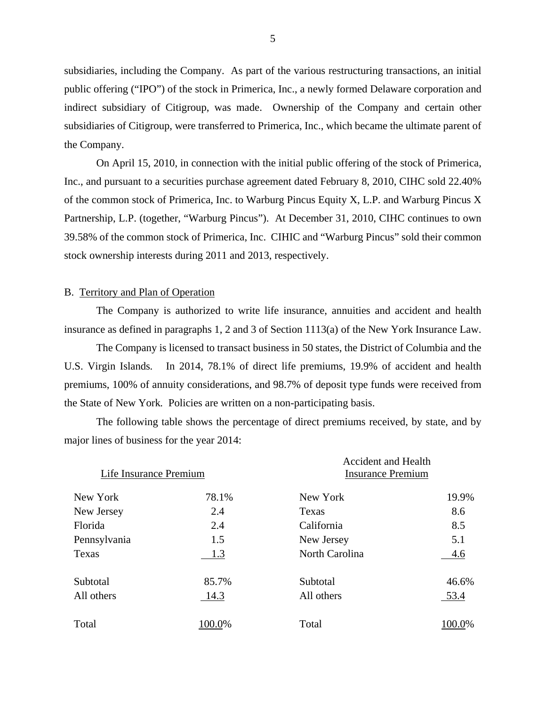<span id="page-7-0"></span>subsidiaries, including the Company. As part of the various restructuring transactions, an initial public offering ("IPO") of the stock in Primerica, Inc., a newly formed Delaware corporation and indirect subsidiary of Citigroup, was made. Ownership of the Company and certain other subsidiaries of Citigroup, were transferred to Primerica, Inc., which became the ultimate parent of the Company.

On April 15, 2010, in connection with the initial public offering of the stock of Primerica, Inc., and pursuant to a securities purchase agreement dated February 8, 2010, CIHC sold 22.40% of the common stock of Primerica, Inc. to Warburg Pincus Equity X, L.P. and Warburg Pincus X Partnership, L.P. (together, "Warburg Pincus"). At December 31, 2010, CIHC continues to own 39.58% of the common stock of Primerica, Inc. CIHIC and "Warburg Pincus" sold their common stock ownership interests during 2011 and 2013, respectively.

#### B. Territory and Plan of Operation

The Company is authorized to write life insurance, annuities and accident and health insurance as defined in paragraphs 1, 2 and 3 of Section  $1113(a)$  of the New York Insurance Law.

The Company is licensed to transact business in 50 states, the District of Columbia and the U.S. Virgin Islands*.* In 2014, 78.1% of direct life premiums, 19.9% of accident and health premiums, 100% of annuity considerations, and 98.7% of deposit type funds were received from the State of New York*.* Policies are written on a non-participating basis.

The following table shows the percentage of direct premiums received, by state, and by major lines of business for the year 2014:

| Life Insurance Premium |        | <b>Accident and Health</b><br><b>Insurance Premium</b> |        |
|------------------------|--------|--------------------------------------------------------|--------|
| New York               | 78.1%  | New York                                               | 19.9%  |
| New Jersey             | 2.4    | Texas                                                  | 8.6    |
| Florida                | 2.4    | California                                             | 8.5    |
| Pennsylvania           | 1.5    | New Jersey                                             | 5.1    |
| Texas                  | 1.3    | North Carolina                                         | 4.6    |
| Subtotal               | 85.7%  | Subtotal                                               | 46.6%  |
| All others             | 14.3   | All others                                             | 53.4   |
| Total                  | 100.0% | Total                                                  | 100.0% |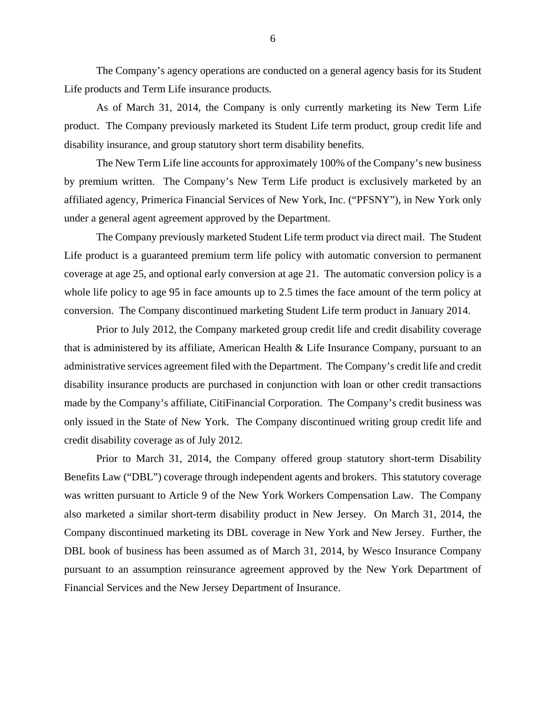The Company's agency operations are conducted on a general agency basis for its Student Life products and Term Life insurance products.

 As of March 31, 2014, the Company is only currently marketing its New Term Life product. The Company previously marketed its Student Life term product, group credit life and disability insurance, and group statutory short term disability benefits.

The New Term Life line accounts for approximately 100% of the Company's new business by premium written. The Company's New Term Life product is exclusively marketed by an affiliated agency, Primerica Financial Services of New York, Inc. ("PFSNY"), in New York only under a general agent agreement approved by the Department.

The Company previously marketed Student Life term product via direct mail. The Student Life product is a guaranteed premium term life policy with automatic conversion to permanent coverage at age 25, and optional early conversion at age 21. The automatic conversion policy is a whole life policy to age 95 in face amounts up to 2.5 times the face amount of the term policy at conversion. The Company discontinued marketing Student Life term product in January 2014.

Prior to July 2012, the Company marketed group credit life and credit disability coverage that is administered by its affiliate, American Health & Life Insurance Company, pursuant to an administrative services agreement filed with the Department. The Company's credit life and credit disability insurance products are purchased in conjunction with loan or other credit transactions made by the Company's affiliate, CitiFinancial Corporation. The Company's credit business was only issued in the State of New York. The Company discontinued writing group credit life and credit disability coverage as of July 2012.

Prior to March 31, 2014, the Company offered group statutory short-term Disability Benefits Law ("DBL") coverage through independent agents and brokers. This statutory coverage was written pursuant to Article 9 of the New York Workers Compensation Law. The Company also marketed a similar short-term disability product in New Jersey. On March 31, 2014, the Company discontinued marketing its DBL coverage in New York and New Jersey. Further, the DBL book of business has been assumed as of March 31, 2014, by Wesco Insurance Company pursuant to an assumption reinsurance agreement approved by the New York Department of Financial Services and the New Jersey Department of Insurance.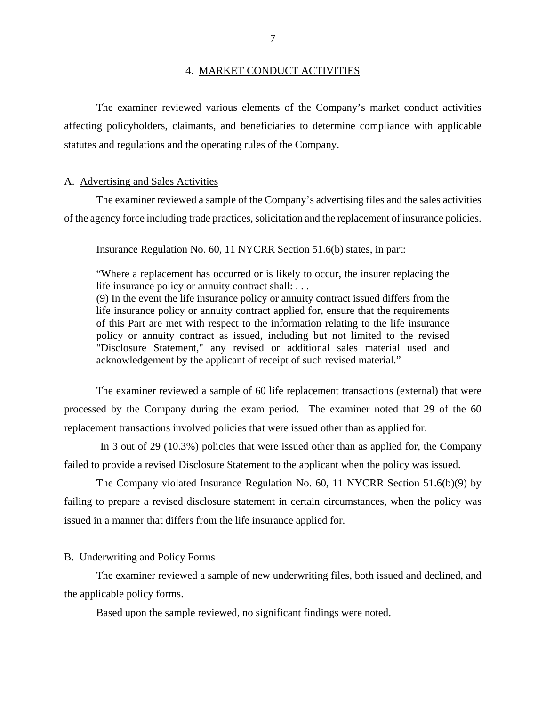#### 4. MARKET CONDUCT ACTIVITIES

<span id="page-9-0"></span>The examiner reviewed various elements of the Company's market conduct activities affecting policyholders, claimants, and beneficiaries to determine compliance with applicable statutes and regulations and the operating rules of the Company.

#### A. Advertising and Sales Activities

The examiner reviewed a sample of the Company's advertising files and the sales activities of the agency force including trade practices, solicitation and the replacement of insurance policies.

Insurance Regulation No. 60, 11 NYCRR Section 51.6(b) states, in part:

"Where a replacement has occurred or is likely to occur, the insurer replacing the life insurance policy or annuity contract shall: . . .

(9) In the event the life insurance policy or annuity contract issued differs from the life insurance policy or annuity contract applied for, ensure that the requirements of this Part are met with respect to the information relating to the life insurance policy or annuity contract as issued, including but not limited to the revised "Disclosure Statement," any revised or additional sales material used and acknowledgement by the applicant of receipt of such revised material."

The examiner reviewed a sample of 60 life replacement transactions (external) that were processed by the Company during the exam period. The examiner noted that 29 of the 60 replacement transactions involved policies that were issued other than as applied for.

In 3 out of 29 (10.3%) policies that were issued other than as applied for, the Company failed to provide a revised Disclosure Statement to the applicant when the policy was issued.

The Company violated Insurance Regulation No. 60, 11 NYCRR Section 51.6(b)(9) by failing to prepare a revised disclosure statement in certain circumstances, when the policy was issued in a manner that differs from the life insurance applied for.

#### B. Underwriting and Policy Forms

The examiner reviewed a sample of new underwriting files, both issued and declined, and the applicable policy forms.

Based upon the sample reviewed, no significant findings were noted.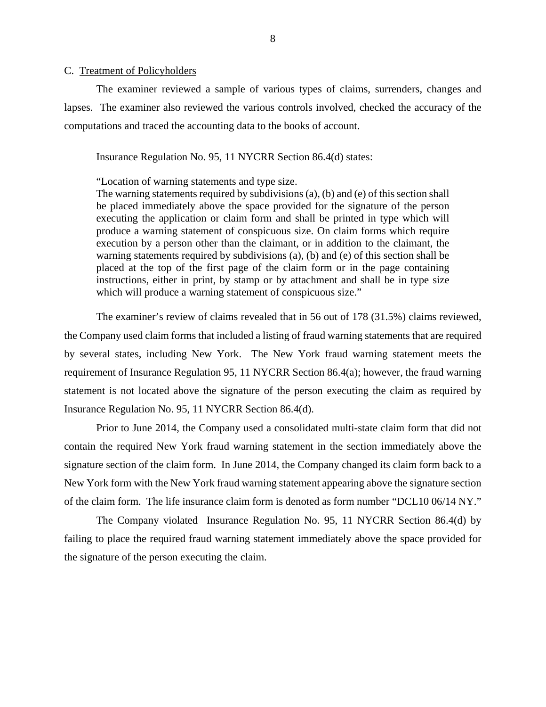#### <span id="page-10-0"></span>C. Treatment of Policyholders

The examiner reviewed a sample of various types of claims, surrenders, changes and lapses. The examiner also reviewed the various controls involved, checked the accuracy of the computations and traced the accounting data to the books of account.

Insurance Regulation No. 95, 11 NYCRR Section 86.4(d) states:

"Location of warning statements and type size.

The warning statements required by subdivisions (a), (b) and (e) of this section shall be placed immediately above the space provided for the signature of the person executing the application or claim form and shall be printed in type which will produce a warning statement of conspicuous size. On claim forms which require execution by a person other than the claimant, or in addition to the claimant, the warning statements required by subdivisions (a), (b) and (e) of this section shall be placed at the top of the first page of the claim form or in the page containing instructions, either in print, by stamp or by attachment and shall be in type size which will produce a warning statement of conspicuous size."

The examiner's review of claims revealed that in 56 out of 178 (31.5%) claims reviewed, the Company used claim forms that included a listing of fraud warning statements that are required by several states, including New York. The New York fraud warning statement meets the requirement of Insurance Regulation 95, 11 NYCRR Section 86.4(a); however, the fraud warning statement is not located above the signature of the person executing the claim as required by Insurance Regulation No. 95, 11 NYCRR Section 86.4(d).

Prior to June 2014, the Company used a consolidated multi-state claim form that did not contain the required New York fraud warning statement in the section immediately above the signature section of the claim form. In June 2014, the Company changed its claim form back to a New York form with the New York fraud warning statement appearing above the signature section of the claim form. The life insurance claim form is denoted as form number "DCL10 06/14 NY."

The Company violated Insurance Regulation No. 95, 11 NYCRR Section 86.4(d) by failing to place the required fraud warning statement immediately above the space provided for the signature of the person executing the claim.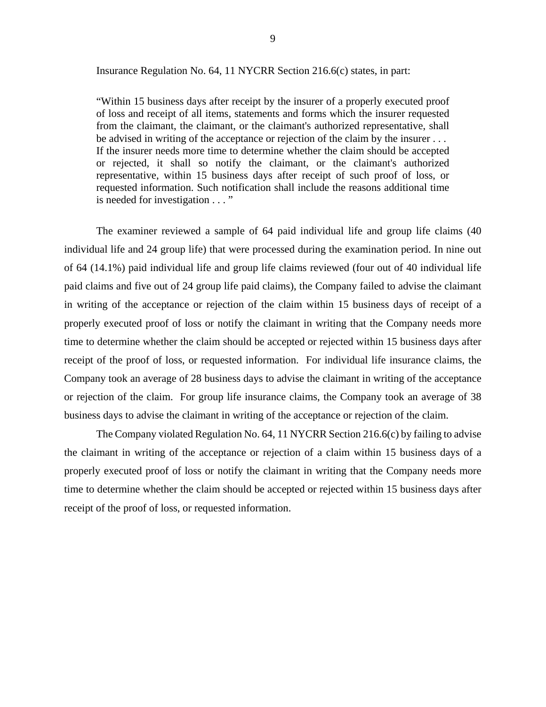Insurance Regulation No. 64, 11 NYCRR Section 216.6(c) states, in part:

"Within 15 business days after receipt by the insurer of a properly executed proof of loss and receipt of all items, statements and forms which the insurer requested from the claimant, the claimant, or the claimant's authorized representative, shall be advised in writing of the acceptance or rejection of the claim by the insurer . . . If the insurer needs more time to determine whether the claim should be accepted or rejected, it shall so notify the claimant, or the claimant's authorized representative, within 15 business days after receipt of such proof of loss, or requested information. Such notification shall include the reasons additional time is needed for investigation . . . "

 or rejection of the claim. For group life insurance claims, the Company took an average of 38 The examiner reviewed a sample of 64 paid individual life and group life claims (40 individual life and 24 group life) that were processed during the examination period. In nine out of 64 (14.1%) paid individual life and group life claims reviewed (four out of 40 individual life paid claims and five out of 24 group life paid claims), the Company failed to advise the claimant in writing of the acceptance or rejection of the claim within 15 business days of receipt of a properly executed proof of loss or notify the claimant in writing that the Company needs more time to determine whether the claim should be accepted or rejected within 15 business days after receipt of the proof of loss, or requested information. For individual life insurance claims, the Company took an average of 28 business days to advise the claimant in writing of the acceptance business days to advise the claimant in writing of the acceptance or rejection of the claim.

The Company violated Regulation No. 64, 11 NYCRR Section 216.6(c) by failing to advise the claimant in writing of the acceptance or rejection of a claim within 15 business days of a properly executed proof of loss or notify the claimant in writing that the Company needs more time to determine whether the claim should be accepted or rejected within 15 business days after receipt of the proof of loss, or requested information.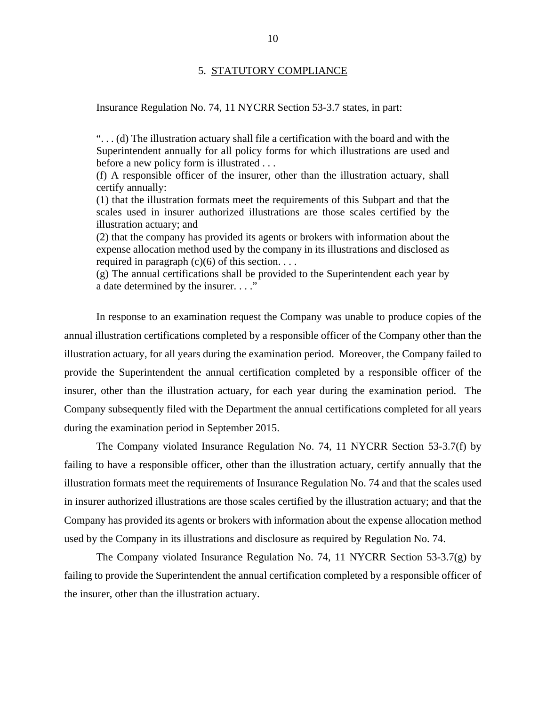#### 5. STATUTORY COMPLIANCE

<span id="page-12-0"></span>Insurance Regulation No. 74, 11 NYCRR Section 53-3.7 states, in part:

". . . (d) The illustration actuary shall file a certification with the board and with the Superintendent annually for all policy forms for which illustrations are used and before a new policy form is illustrated . . .

(f) A responsible officer of the insurer, other than the illustration actuary, shall certify annually:

(1) that the illustration formats meet the requirements of this Subpart and that the scales used in insurer authorized illustrations are those scales certified by the illustration actuary; and

(2) that the company has provided its agents or brokers with information about the expense allocation method used by the company in its illustrations and disclosed as required in paragraph  $(c)(6)$  of this section. . . .

(g) The annual certifications shall be provided to the Superintendent each year by a date determined by the insurer. . . ."

In response to an examination request the Company was unable to produce copies of the annual illustration certifications completed by a responsible officer of the Company other than the illustration actuary, for all years during the examination period. Moreover, the Company failed to provide the Superintendent the annual certification completed by a responsible officer of the insurer, other than the illustration actuary, for each year during the examination period. The Company subsequently filed with the Department the annual certifications completed for all years during the examination period in September 2015.

The Company violated Insurance Regulation No. 74, 11 NYCRR Section 53-3.7(f) by failing to have a responsible officer, other than the illustration actuary, certify annually that the illustration formats meet the requirements of Insurance Regulation No. 74 and that the scales used in insurer authorized illustrations are those scales certified by the illustration actuary; and that the Company has provided its agents or brokers with information about the expense allocation method used by the Company in its illustrations and disclosure as required by Regulation No. 74.

The Company violated Insurance Regulation No. 74, 11 NYCRR Section 53-3.7(g) by failing to provide the Superintendent the annual certification completed by a responsible officer of the insurer, other than the illustration actuary.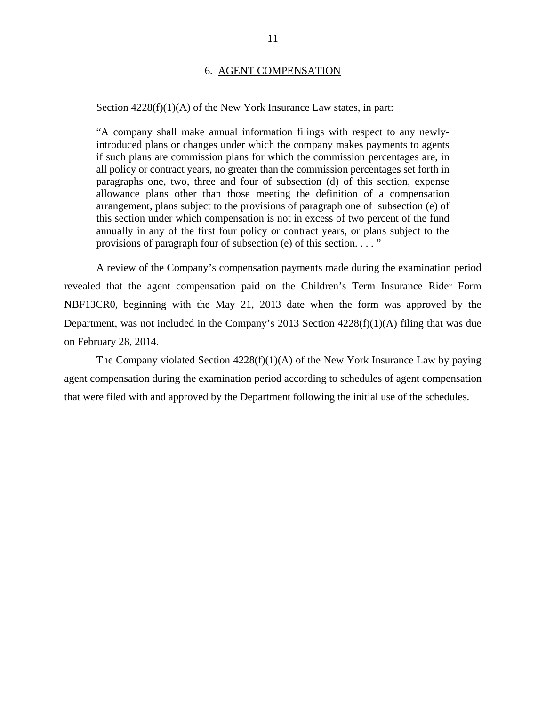#### 6. AGENT COMPENSATION

#### <span id="page-13-0"></span>Section  $4228(f)(1)(A)$  of the New York Insurance Law states, in part:

"A company shall make annual information filings with respect to any newlyintroduced plans or changes under which the company makes payments to agents if such plans are commission plans for which the commission percentages are, in all policy or contract years, no greater than the commission percentages set forth in paragraphs one, two, three and four of subsection (d) of this section, expense allowance plans other than those meeting the definition of a compensation arrangement, plans subject to the provisions of paragraph one of subsection (e) of this section under which compensation is not in excess of two percent of the fund annually in any of the first four policy or contract years, or plans subject to the provisions of paragraph four of subsection (e) of this section. . . . "

A review of the Company's compensation payments made during the examination period revealed that the agent compensation paid on the Children's Term Insurance Rider Form NBF13CR0, beginning with the May 21, 2013 date when the form was approved by the Department, was not included in the Company's 2013 Section 4228(f)(1)(A) filing that was due on February 28, 2014.

The Company violated Section  $4228(f)(1)(A)$  of the New York Insurance Law by paying agent compensation during the examination period according to schedules of agent compensation that were filed with and approved by the Department following the initial use of the schedules.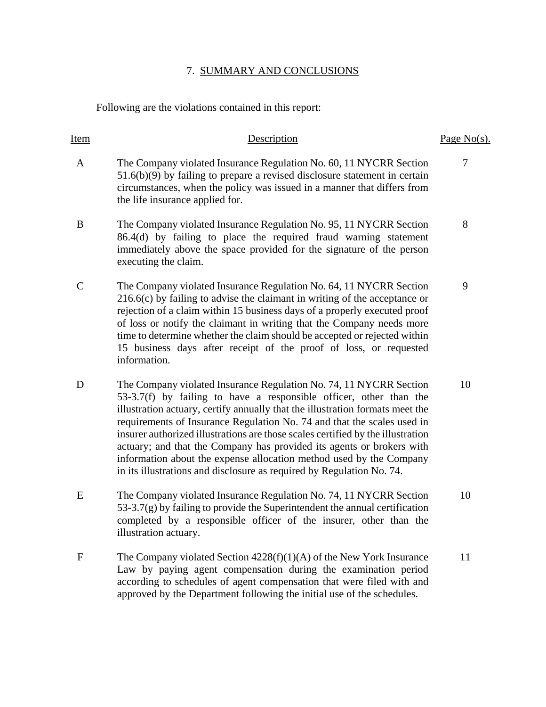## 7. SUMMARY AND CONCLUSIONS

Following are the violations contained in this report:

| <b>Item</b>   | Description                                                                                                                                                                                                                                                                                                                                                                                                                                                                                                                                                                                                      | Page $No(s)$ . |
|---------------|------------------------------------------------------------------------------------------------------------------------------------------------------------------------------------------------------------------------------------------------------------------------------------------------------------------------------------------------------------------------------------------------------------------------------------------------------------------------------------------------------------------------------------------------------------------------------------------------------------------|----------------|
| A             | The Company violated Insurance Regulation No. 60, 11 NYCRR Section<br>$51.6(b)(9)$ by failing to prepare a revised disclosure statement in certain<br>circumstances, when the policy was issued in a manner that differs from<br>the life insurance applied for.                                                                                                                                                                                                                                                                                                                                                 | 7              |
| B             | The Company violated Insurance Regulation No. 95, 11 NYCRR Section<br>86.4(d) by failing to place the required fraud warning statement<br>immediately above the space provided for the signature of the person<br>executing the claim.                                                                                                                                                                                                                                                                                                                                                                           | 8              |
| $\mathcal{C}$ | The Company violated Insurance Regulation No. 64, 11 NYCRR Section<br>$216.6(c)$ by failing to advise the claimant in writing of the acceptance or<br>rejection of a claim within 15 business days of a properly executed proof<br>of loss or notify the claimant in writing that the Company needs more<br>time to determine whether the claim should be accepted or rejected within<br>15 business days after receipt of the proof of loss, or requested<br>information.                                                                                                                                       | 9              |
| D             | The Company violated Insurance Regulation No. 74, 11 NYCRR Section<br>53-3.7(f) by failing to have a responsible officer, other than the<br>illustration actuary, certify annually that the illustration formats meet the<br>requirements of Insurance Regulation No. 74 and that the scales used in<br>insurer authorized illustrations are those scales certified by the illustration<br>actuary; and that the Company has provided its agents or brokers with<br>information about the expense allocation method used by the Company<br>in its illustrations and disclosure as required by Regulation No. 74. | 10             |
| E             | The Company violated Insurance Regulation No. 74, 11 NYCRR Section<br>$53-3.7(g)$ by failing to provide the Superintendent the annual certification<br>completed by a responsible officer of the insurer, other than the<br>illustration actuary.                                                                                                                                                                                                                                                                                                                                                                | 10             |
| $\mathbf{F}$  | The Company violated Section $4228(f)(1)(A)$ of the New York Insurance<br>Law by paying agent compensation during the examination period<br>according to schedules of agent compensation that were filed with and<br>approved by the Department following the initial use of the schedules.                                                                                                                                                                                                                                                                                                                      | 11             |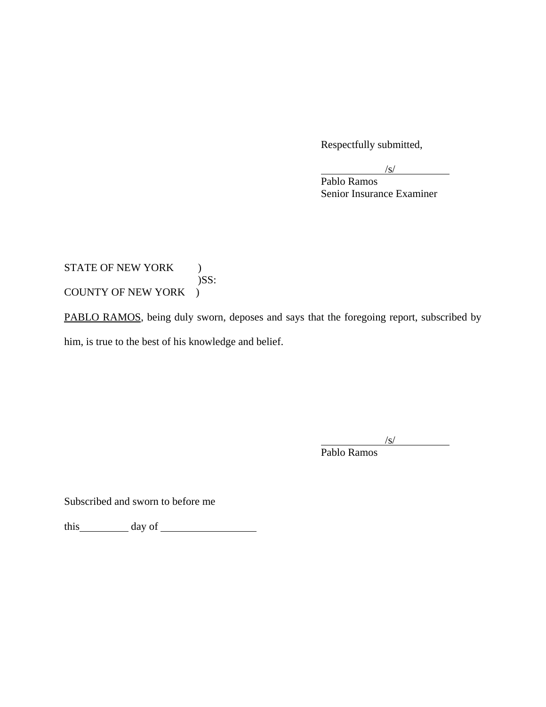Respectfully submitted,

 $\sqrt{s/2}$  $\sqrt{s}$ 

 Pablo Ramos Senior Insurance Examiner

## STATE OF NEW YORK ) )SS: COUNTY OF NEW YORK )

PABLO RAMOS, being duly sworn, deposes and says that the foregoing report, subscribed by him, is true to the best of his knowledge and belief.

 $\sqrt{s}$  $\sqrt{s}$ /s/

Pablo Ramos

Subscribed and sworn to before me

this day of